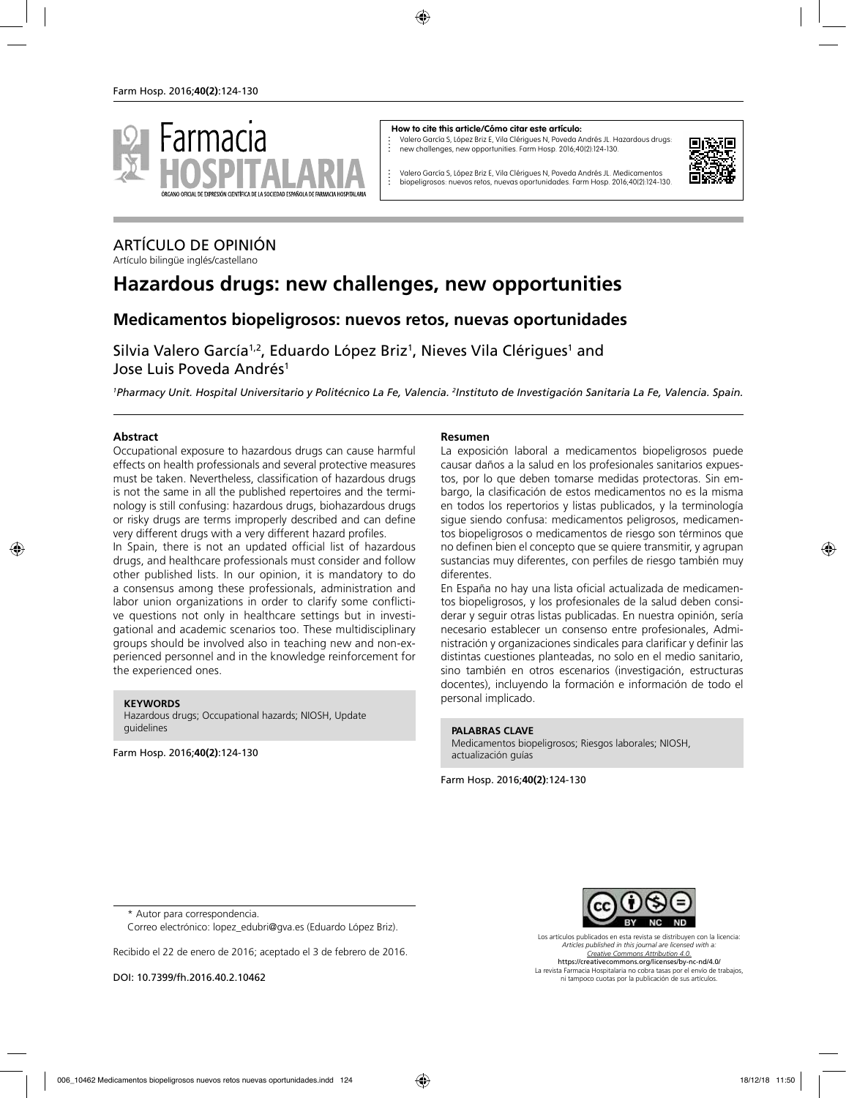

#### **How to cite this article/Cómo citar este artículo:**

Valero García S, López Briz E, Vila Clérigues N, Poveda Andrés JL. Hazardous drugs: new challenges, new opportunities. Farm Hosp. 2016;40(2):124-130.



Valero García S, López Briz E, Vila Clérigues N, Poveda Andrés JL. Medicamentos biopeligrosos: nuevos retos, nuevas oportunidades. Farm Hosp. 2016;40(2):124-130.

## ARTÍCULO DE OPINIÓN

Artículo bilingüe inglés/castellano

# **Hazardous drugs: new challenges, new opportunities**

### **Medicamentos biopeligrosos: nuevos retos, nuevas oportunidades**

Silvia Valero García<sup>1,2</sup>, Eduardo López Briz<sup>1</sup>, Nieves Vila Clérigues<sup>1</sup> and Jose Luis Poveda Andrés<sup>1</sup>

*1 Pharmacy Unit. Hospital Universitario y Politécnico La Fe, Valencia. 2 Instituto de Investigación Sanitaria La Fe, Valencia. Spain.*

### **Abstract**

Occupational exposure to hazardous drugs can cause harmful effects on health professionals and several protective measures must be taken. Nevertheless, classification of hazardous drugs is not the same in all the published repertoires and the terminology is still confusing: hazardous drugs, biohazardous drugs or risky drugs are terms improperly described and can define very different drugs with a very different hazard profiles.

In Spain, there is not an updated official list of hazardous drugs, and healthcare professionals must consider and follow other published lists. In our opinion, it is mandatory to do a consensus among these professionals, administration and labor union organizations in order to clarify some conflictive questions not only in healthcare settings but in investigational and academic scenarios too. These multidisciplinary groups should be involved also in teaching new and non-experienced personnel and in the knowledge reinforcement for the experienced ones.

#### **KEYWORDS**

Hazardous drugs; Occupational hazards; NIOSH, Update guidelines

Farm Hosp. 2016;**40(2)**:124-130

### **Resumen**

La exposición laboral a medicamentos biopeligrosos puede causar daños a la salud en los profesionales sanitarios expuestos, por lo que deben tomarse medidas protectoras. Sin embargo, la clasificación de estos medicamentos no es la misma en todos los repertorios y listas publicados, y la terminología sigue siendo confusa: medicamentos peligrosos, medicamentos biopeligrosos o medicamentos de riesgo son términos que no definen bien el concepto que se quiere transmitir, y agrupan sustancias muy diferentes, con perfiles de riesgo también muy diferentes.

En España no hay una lista oficial actualizada de medicamentos biopeligrosos, y los profesionales de la salud deben considerar y seguir otras listas publicadas. En nuestra opinión, sería necesario establecer un consenso entre profesionales, Administración y organizaciones sindicales para clarificar y definir las distintas cuestiones planteadas, no solo en el medio sanitario, sino también en otros escenarios (investigación, estructuras docentes), incluyendo la formación e información de todo el personal implicado.

#### **PALABRAS CLAVE**

Medicamentos biopeligrosos; Riesgos laborales; NIOSH, actualización guías

Farm Hosp. 2016;**40(2)**:124-130



Recibido el 22 de enero de 2016; aceptado el 3 de febrero de 2016.

DOI: 10.7399/fh.2016.40.2.10462

Los artículos publicados en esta revista se distribuyen con la licencia: *Articles published in this journal are licensed with a: Creative Commons Attribution 4.0.* https://creativecommons.org/licenses/by-nc-nd/4.0/ La revista Farmacia Hospitalaria no cobra tasas por el envío de trabajos, ni tampoco cuotas por la publicación de sus artículos.

<sup>\*</sup> Autor para correspondencia.

Correo electrónico: lopez\_edubri@gva.es (Eduardo López Briz).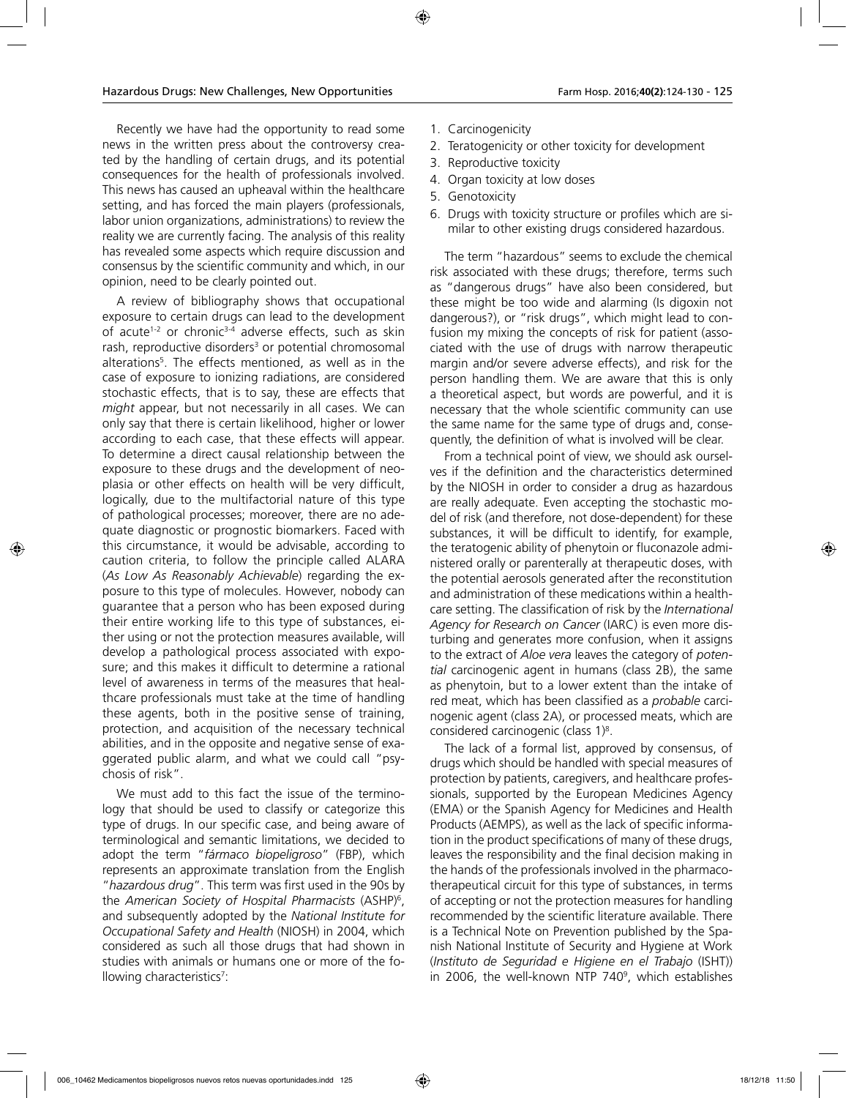Recently we have had the opportunity to read some news in the written press about the controversy created by the handling of certain drugs, and its potential consequences for the health of professionals involved. This news has caused an upheaval within the healthcare setting, and has forced the main players (professionals, labor union organizations, administrations) to review the reality we are currently facing. The analysis of this reality has revealed some aspects which require discussion and consensus by the scientific community and which, in our opinion, need to be clearly pointed out.

A review of bibliography shows that occupational exposure to certain drugs can lead to the development of acute<sup>1-2</sup> or chronic<sup>3-4</sup> adverse effects, such as skin rash, reproductive disorders<sup>3</sup> or potential chromosomal alterations5 . The effects mentioned, as well as in the case of exposure to ionizing radiations, are considered stochastic effects, that is to say, these are effects that *might* appear, but not necessarily in all cases. We can only say that there is certain likelihood, higher or lower according to each case, that these effects will appear. To determine a direct causal relationship between the exposure to these drugs and the development of neoplasia or other effects on health will be very difficult, logically, due to the multifactorial nature of this type of pathological processes; moreover, there are no adequate diagnostic or prognostic biomarkers. Faced with this circumstance, it would be advisable, according to caution criteria, to follow the principle called ALARA (*As Low As Reasonably Achievable*) regarding the exposure to this type of molecules. However, nobody can guarantee that a person who has been exposed during their entire working life to this type of substances, either using or not the protection measures available, will develop a pathological process associated with exposure; and this makes it difficult to determine a rational level of awareness in terms of the measures that healthcare professionals must take at the time of handling these agents, both in the positive sense of training, protection, and acquisition of the necessary technical abilities, and in the opposite and negative sense of exaggerated public alarm, and what we could call "psychosis of risk".

We must add to this fact the issue of the terminology that should be used to classify or categorize this type of drugs. In our specific case, and being aware of terminological and semantic limitations, we decided to adopt the term "*fármaco biopeligroso*" (FBP), which represents an approximate translation from the English "*hazardous drug*". This term was first used in the 90s by the *American Society of Hospital Pharmacists* (ASHP)6 , and subsequently adopted by the *National Institute for Occupational Safety and Health* (NIOSH) in 2004, which considered as such all those drugs that had shown in studies with animals or humans one or more of the following characteristics<sup>7</sup>:

- 1. Carcinogenicity
- 2. Teratogenicity or other toxicity for development
- 3. Reproductive toxicity
- 4. Organ toxicity at low doses
- 5. Genotoxicity
- 6. Drugs with toxicity structure or profiles which are similar to other existing drugs considered hazardous.

The term "hazardous" seems to exclude the chemical risk associated with these drugs; therefore, terms such as "dangerous drugs" have also been considered, but these might be too wide and alarming (Is digoxin not dangerous?), or "risk drugs", which might lead to confusion my mixing the concepts of risk for patient (associated with the use of drugs with narrow therapeutic margin and/or severe adverse effects), and risk for the person handling them. We are aware that this is only a theoretical aspect, but words are powerful, and it is necessary that the whole scientific community can use the same name for the same type of drugs and, consequently, the definition of what is involved will be clear.

From a technical point of view, we should ask ourselves if the definition and the characteristics determined by the NIOSH in order to consider a drug as hazardous are really adequate. Even accepting the stochastic model of risk (and therefore, not dose-dependent) for these substances, it will be difficult to identify, for example, the teratogenic ability of phenytoin or fluconazole administered orally or parenterally at therapeutic doses, with the potential aerosols generated after the reconstitution and administration of these medications within a healthcare setting. The classification of risk by the *International Agency for Research on Cancer* (IARC) is even more disturbing and generates more confusion, when it assigns to the extract of *Aloe vera* leaves the category of *potential* carcinogenic agent in humans (class 2B), the same as phenytoin, but to a lower extent than the intake of red meat, which has been classified as a *probable* carcinogenic agent (class 2A), or processed meats, which are considered carcinogenic (class 1)8 .

The lack of a formal list, approved by consensus, of drugs which should be handled with special measures of protection by patients, caregivers, and healthcare professionals, supported by the European Medicines Agency (EMA) or the Spanish Agency for Medicines and Health Products (AEMPS), as well as the lack of specific information in the product specifications of many of these drugs, leaves the responsibility and the final decision making in the hands of the professionals involved in the pharmacotherapeutical circuit for this type of substances, in terms of accepting or not the protection measures for handling recommended by the scientific literature available. There is a Technical Note on Prevention published by the Spanish National Institute of Security and Hygiene at Work (*Instituto de Seguridad e Higiene en el Trabajo* (ISHT)) in 2006, the well-known NTP 7409 , which establishes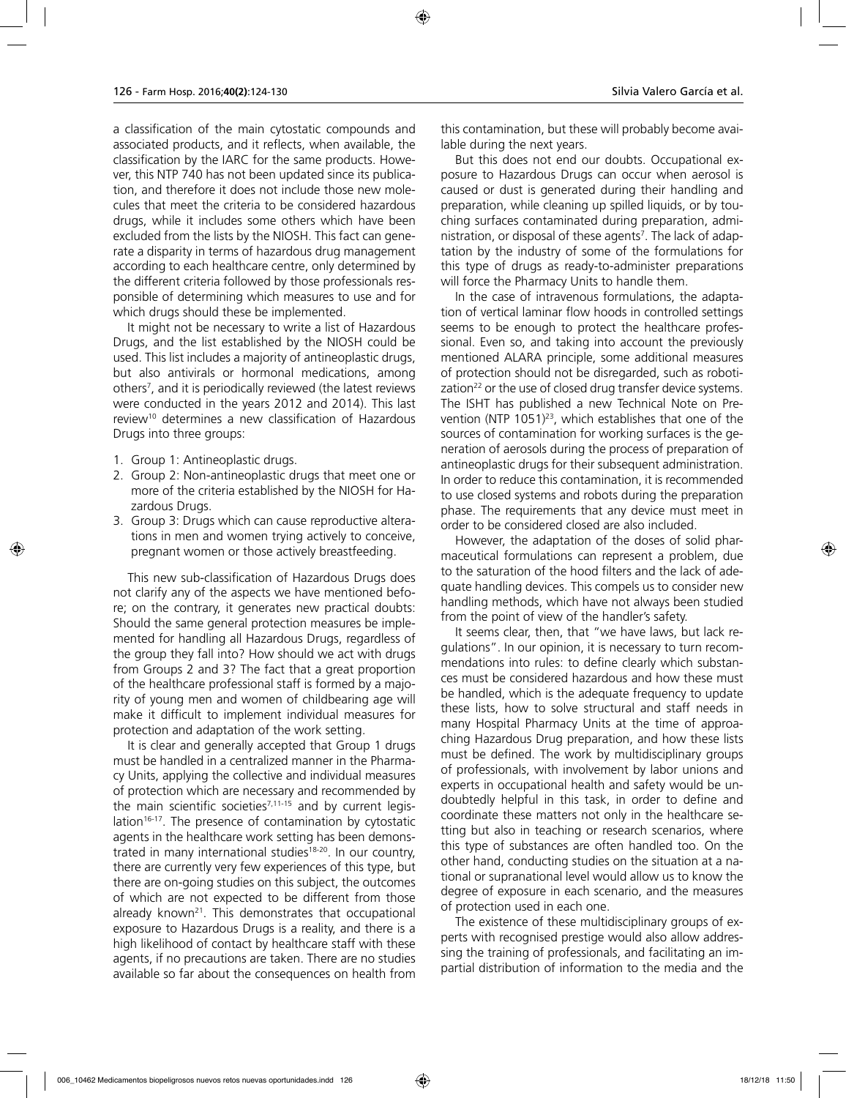a classification of the main cytostatic compounds and associated products, and it reflects, when available, the classification by the IARC for the same products. However, this NTP 740 has not been updated since its publication, and therefore it does not include those new molecules that meet the criteria to be considered hazardous drugs, while it includes some others which have been excluded from the lists by the NIOSH. This fact can generate a disparity in terms of hazardous drug management according to each healthcare centre, only determined by the different criteria followed by those professionals responsible of determining which measures to use and for which drugs should these be implemented.

It might not be necessary to write a list of Hazardous Drugs, and the list established by the NIOSH could be used. This list includes a majority of antineoplastic drugs, but also antivirals or hormonal medications, among others7 , and it is periodically reviewed (the latest reviews were conducted in the years 2012 and 2014). This last review10 determines a new classification of Hazardous Drugs into three groups:

- 1. Group 1: Antineoplastic drugs.
- 2. Group 2: Non-antineoplastic drugs that meet one or more of the criteria established by the NIOSH for Hazardous Drugs.
- 3. Group 3: Drugs which can cause reproductive alterations in men and women trying actively to conceive, pregnant women or those actively breastfeeding.

This new sub-classification of Hazardous Drugs does not clarify any of the aspects we have mentioned before; on the contrary, it generates new practical doubts: Should the same general protection measures be implemented for handling all Hazardous Drugs, regardless of the group they fall into? How should we act with drugs from Groups 2 and 3? The fact that a great proportion of the healthcare professional staff is formed by a majority of young men and women of childbearing age will make it difficult to implement individual measures for protection and adaptation of the work setting.

It is clear and generally accepted that Group 1 drugs must be handled in a centralized manner in the Pharmacy Units, applying the collective and individual measures of protection which are necessary and recommended by the main scientific societies<sup>7,11-15</sup> and by current legislation<sup>16-17</sup>. The presence of contamination by cytostatic agents in the healthcare work setting has been demonstrated in many international studies<sup>18-20</sup>. In our country, there are currently very few experiences of this type, but there are on-going studies on this subject, the outcomes of which are not expected to be different from those already known<sup>21</sup>. This demonstrates that occupational exposure to Hazardous Drugs is a reality, and there is a high likelihood of contact by healthcare staff with these agents, if no precautions are taken. There are no studies available so far about the consequences on health from this contamination, but these will probably become available during the next years.

But this does not end our doubts. Occupational exposure to Hazardous Drugs can occur when aerosol is caused or dust is generated during their handling and preparation, while cleaning up spilled liquids, or by touching surfaces contaminated during preparation, administration, or disposal of these agents<sup>7</sup>. The lack of adaptation by the industry of some of the formulations for this type of drugs as ready-to-administer preparations will force the Pharmacy Units to handle them.

In the case of intravenous formulations, the adaptation of vertical laminar flow hoods in controlled settings seems to be enough to protect the healthcare professional. Even so, and taking into account the previously mentioned ALARA principle, some additional measures of protection should not be disregarded, such as robotization $^{22}$  or the use of closed drug transfer device systems. The ISHT has published a new Technical Note on Prevention (NTP  $1051$ )<sup>23</sup>, which establishes that one of the sources of contamination for working surfaces is the generation of aerosols during the process of preparation of antineoplastic drugs for their subsequent administration. In order to reduce this contamination, it is recommended to use closed systems and robots during the preparation phase. The requirements that any device must meet in order to be considered closed are also included.

However, the adaptation of the doses of solid pharmaceutical formulations can represent a problem, due to the saturation of the hood filters and the lack of adequate handling devices. This compels us to consider new handling methods, which have not always been studied from the point of view of the handler's safety.

It seems clear, then, that "we have laws, but lack regulations". In our opinion, it is necessary to turn recommendations into rules: to define clearly which substances must be considered hazardous and how these must be handled, which is the adequate frequency to update these lists, how to solve structural and staff needs in many Hospital Pharmacy Units at the time of approaching Hazardous Drug preparation, and how these lists must be defined. The work by multidisciplinary groups of professionals, with involvement by labor unions and experts in occupational health and safety would be undoubtedly helpful in this task, in order to define and coordinate these matters not only in the healthcare setting but also in teaching or research scenarios, where this type of substances are often handled too. On the other hand, conducting studies on the situation at a national or supranational level would allow us to know the degree of exposure in each scenario, and the measures of protection used in each one.

The existence of these multidisciplinary groups of experts with recognised prestige would also allow addressing the training of professionals, and facilitating an impartial distribution of information to the media and the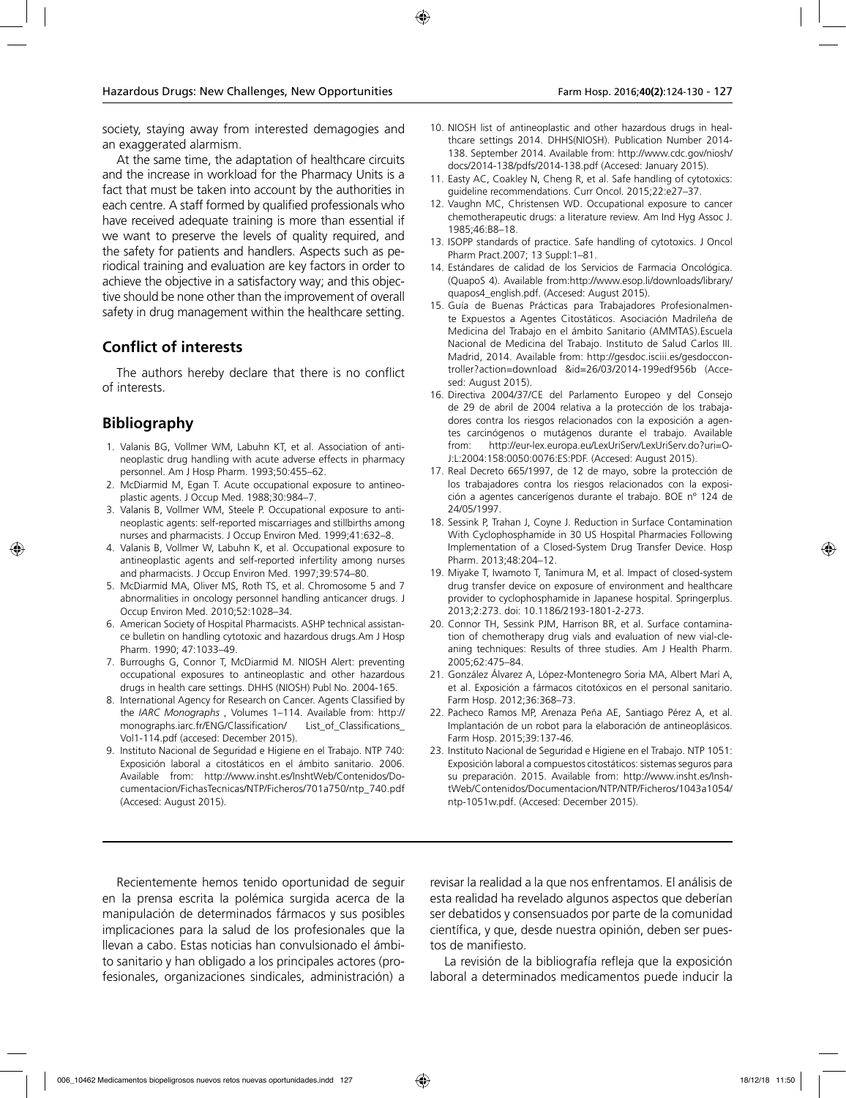society, staying away from interested demagogies and an exaggerated alarmism.

At the same time, the adaptation of healthcare circuits and the increase in workload for the Pharmacy Units is a fact that must be taken into account by the authorities in each centre. A staff formed by qualified professionals who have received adequate training is more than essential if we want to preserve the levels of quality required, and the safety for patients and handlers. Aspects such as periodical training and evaluation are key factors in order to achieve the objective in a satisfactory way; and this objective should be none other than the improvement of overall safety in drug management within the healthcare setting.

### **Conflict of interests**

The authors hereby declare that there is no conflict of interests.

### **Bibliography**

- 1. Valanis BG, Vollmer WM, Labuhn KT, et al. Association of antineoplastic drug handling with acute adverse effects in pharmacy personnel. Am J Hosp Pharm. 1993;50:455–62.
- 2. McDiarmid M, Egan T. Acute occupational exposure to antineoplastic agents. J Occup Med. 1988;30:984–7.
- 3. Valanis B, Vollmer WM, Steele P. Occupational exposure to antineoplastic agents: self-reported miscarriages and stillbirths among nurses and pharmacists. J Occup Environ Med. 1999;41:632–8.
- 4. Valanis B, Vollmer W, Labuhn K, et al. Occupational exposure to antineoplastic agents and self-reported infertility among nurses and pharmacists. J Occup Environ Med. 1997;39:574–80.
- 5. McDiarmid MA, Oliver MS, Roth TS, et al. Chromosome 5 and 7 abnormalities in oncology personnel handling anticancer drugs. J Occup Environ Med. 2010;52:1028–34.
- 6. American Society of Hospital Pharmacists. ASHP technical assistance bulletin on handling cytotoxic and hazardous drugs.Am J Hosp Pharm. 1990; 47:1033–49.
- 7. Burroughs G, Connor T, McDiarmid M. NIOSH Alert: preventing occupational exposures to antineoplastic and other hazardous drugs in health care settings. DHHS (NIOSH) Publ No. 2004-165.
- 8. International Agency for Research on Cancer. Agents Classified by the *IARC Monographs* , Volumes 1–114. Available from: http:// monographs.iarc.fr/ENG/Classification/ List\_of\_Classifications\_ Vol1-114.pdf (accesed: December 2015).
- 9. Instituto Nacional de Seguridad e Higiene en el Trabajo. NTP 740: Exposición laboral a citostáticos en el ámbito sanitario. 2006. Available from: http://www.insht.es/InshtWeb/Contenidos/Documentacion/FichasTecnicas/NTP/Ficheros/701a750/ntp\_740.pdf (Accesed: August 2015).
- 10. NIOSH list of antineoplastic and other hazardous drugs in healthcare settings 2014. DHHS(NIOSH). Publication Number 2014- 138. September 2014. Available from: http://www.cdc.gov/niosh/ docs/2014-138/pdfs/2014-138.pdf (Accesed: January 2015).
- 11. Easty AC, Coakley N, Cheng R, et al. Safe handling of cytotoxics: guideline recommendations. Curr Oncol. 2015;22:e27–37.
- 12. Vaughn MC, Christensen WD. Occupational exposure to cancer chemotherapeutic drugs: a literature review. Am Ind Hyg Assoc J. 1985;46:B8–18.
- 13. ISOPP standards of practice. Safe handling of cytotoxics. J Oncol Pharm Pract.2007; 13 Suppl:1–81.
- 14. Estándares de calidad de los Servicios de Farmacia Oncológica. (QuapoS 4). Available from:http://www.esop.li/downloads/library/ quapos4\_english.pdf. (Accesed: August 2015).
- 15. Guía de Buenas Prácticas para Trabajadores Profesionalmente Expuestos a Agentes Citostáticos. Asociación Madrileña de Medicina del Trabajo en el ámbito Sanitario (AMMTAS).Escuela Nacional de Medicina del Trabajo. Instituto de Salud Carlos III. Madrid, 2014. Available from: http://gesdoc.isciii.es/gesdoccontroller?action=download &id=26/03/2014-199edf956b (Accesed: August 2015).
- 16. Directiva 2004/37/CE del Parlamento Europeo y del Consejo de 29 de abril de 2004 relativa a la protección de los trabajadores contra los riesgos relacionados con la exposición a agentes carcinógenos o mutágenos durante el trabajo. Available from: http://eur-lex.europa.eu/LexUriServ/LexUriServ.do?uri=O-J:L:2004:158:0050:0076:ES:PDF. (Accesed: August 2015).
- 17. Real Decreto 665/1997, de 12 de mayo, sobre la protección de los trabajadores contra los riesgos relacionados con la exposición a agentes cancerígenos durante el trabajo. BOE nº 124 de 24/05/1997.
- 18. Sessink P, Trahan J, Coyne J. Reduction in Surface Contamination With Cyclophosphamide in 30 US Hospital Pharmacies Following Implementation of a Closed-System Drug Transfer Device. Hosp Pharm. 2013;48:204–12.
- 19. Miyake T, Iwamoto T, Tanimura M, et al. Impact of closed-system drug transfer device on exposure of environment and healthcare provider to cyclophosphamide in Japanese hospital. Springerplus. 2013;2:273. doi: 10.1186/2193-1801-2-273.
- 20. Connor TH, Sessink PJM, Harrison BR, et al. Surface contamination of chemotherapy drug vials and evaluation of new vial-cleaning techniques: Results of three studies. Am J Health Pharm. 2005;62:475–84.
- 21. González Álvarez A, López-Montenegro Soria MA, Albert Marí A, et al. Exposición a fármacos citotóxicos en el personal sanitario. Farm Hosp. 2012;36:368–73.
- 22. Pacheco Ramos MP, Arenaza Peña AE, Santiago Pérez A, et al. Implantación de un robot para la elaboración de antineoplásicos. Farm Hosp. 2015;39:137-46.
- 23. Instituto Nacional de Seguridad e Higiene en el Trabajo. NTP 1051: Exposición laboral a compuestos citostáticos: sistemas seguros para su preparación. 2015. Available from: http://www.insht.es/InshtWeb/Contenidos/Documentacion/NTP/NTP/Ficheros/1043a1054/ ntp-1051w.pdf. (Accesed: December 2015).

Recientemente hemos tenido oportunidad de seguir en la prensa escrita la polémica surgida acerca de la manipulación de determinados fármacos y sus posibles implicaciones para la salud de los profesionales que la llevan a cabo. Estas noticias han convulsionado el ámbito sanitario y han obligado a los principales actores (profesionales, organizaciones sindicales, administración) a

revisar la realidad a la que nos enfrentamos. El análisis de esta realidad ha revelado algunos aspectos que deberían ser debatidos y consensuados por parte de la comunidad científica, y que, desde nuestra opinión, deben ser puestos de manifiesto.

La revisión de la bibliografía refleja que la exposición laboral a determinados medicamentos puede inducir la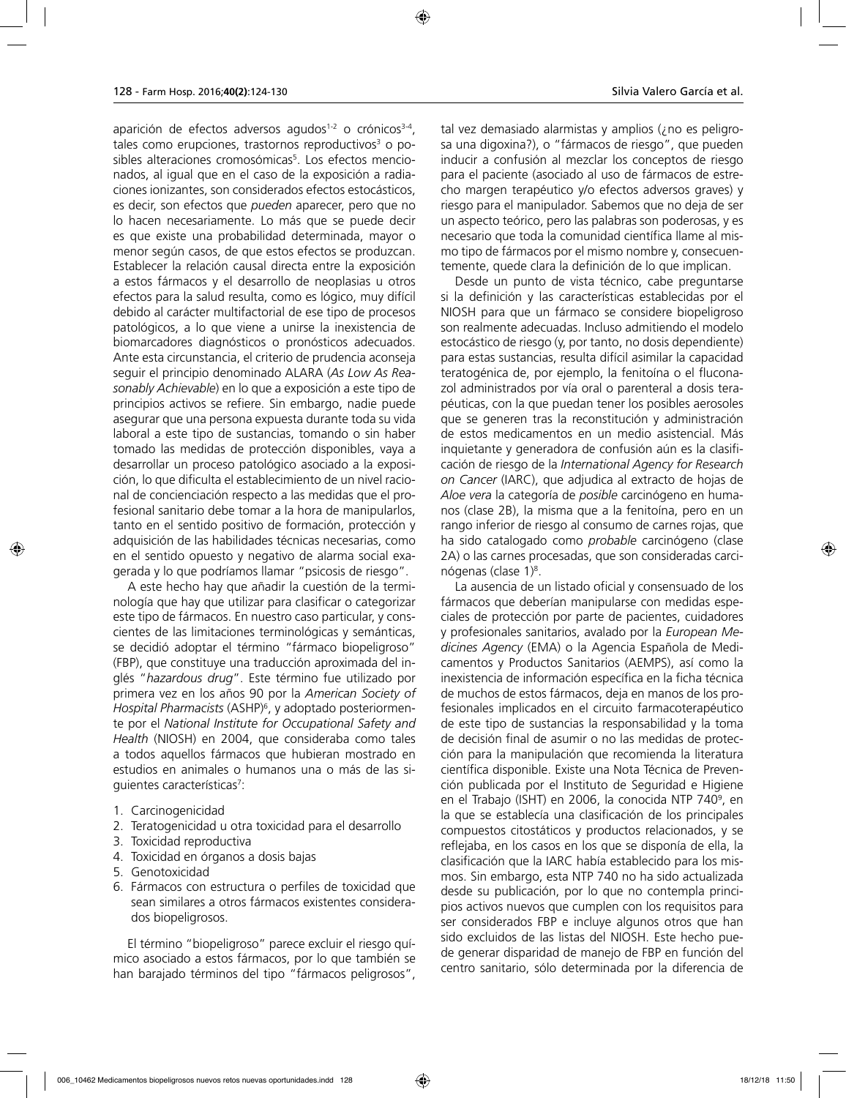aparición de efectos adversos agudos<sup>1-2</sup> o crónicos<sup>3-4</sup>, tales como erupciones, trastornos reproductivos<sup>3</sup> o posibles alteraciones cromosómicas<sup>5</sup>. Los efectos mencionados, al igual que en el caso de la exposición a radiaciones ionizantes, son considerados efectos estocásticos, es decir, son efectos que *pueden* aparecer, pero que no lo hacen necesariamente. Lo más que se puede decir es que existe una probabilidad determinada, mayor o menor según casos, de que estos efectos se produzcan. Establecer la relación causal directa entre la exposición a estos fármacos y el desarrollo de neoplasias u otros efectos para la salud resulta, como es lógico, muy difícil debido al carácter multifactorial de ese tipo de procesos patológicos, a lo que viene a unirse la inexistencia de biomarcadores diagnósticos o pronósticos adecuados. Ante esta circunstancia, el criterio de prudencia aconseja seguir el principio denominado ALARA (*As Low As Reasonably Achievable*) en lo que a exposición a este tipo de principios activos se refiere. Sin embargo, nadie puede asegurar que una persona expuesta durante toda su vida laboral a este tipo de sustancias, tomando o sin haber tomado las medidas de protección disponibles, vaya a desarrollar un proceso patológico asociado a la exposición, lo que dificulta el establecimiento de un nivel racional de concienciación respecto a las medidas que el profesional sanitario debe tomar a la hora de manipularlos, tanto en el sentido positivo de formación, protección y adquisición de las habilidades técnicas necesarias, como en el sentido opuesto y negativo de alarma social exagerada y lo que podríamos llamar "psicosis de riesgo".

A este hecho hay que añadir la cuestión de la terminología que hay que utilizar para clasificar o categorizar este tipo de fármacos. En nuestro caso particular, y conscientes de las limitaciones terminológicas y semánticas, se decidió adoptar el término "fármaco biopeligroso" (FBP), que constituye una traducción aproximada del inglés "*hazardous drug*". Este término fue utilizado por primera vez en los años 90 por la *American Society of Hospital Pharmacists* (ASHP)6 , y adoptado posteriormente por el *National Institute for Occupational Safety and Health* (NIOSH) en 2004, que consideraba como tales a todos aquellos fármacos que hubieran mostrado en estudios en animales o humanos una o más de las siguientes características<sup>7</sup>:

- 1. Carcinogenicidad
- 2. Teratogenicidad u otra toxicidad para el desarrollo
- 3. Toxicidad reproductiva
- 4. Toxicidad en órganos a dosis bajas
- 5. Genotoxicidad
- 6. Fármacos con estructura o perfiles de toxicidad que sean similares a otros fármacos existentes considerados biopeligrosos.

El término "biopeligroso" parece excluir el riesgo químico asociado a estos fármacos, por lo que también se han barajado términos del tipo "fármacos peligrosos", tal vez demasiado alarmistas y amplios (¿no es peligrosa una digoxina?), o "fármacos de riesgo", que pueden inducir a confusión al mezclar los conceptos de riesgo para el paciente (asociado al uso de fármacos de estrecho margen terapéutico y/o efectos adversos graves) y riesgo para el manipulador. Sabemos que no deja de ser un aspecto teórico, pero las palabras son poderosas, y es necesario que toda la comunidad científica llame al mismo tipo de fármacos por el mismo nombre y, consecuentemente, quede clara la definición de lo que implican.

Desde un punto de vista técnico, cabe preguntarse si la definición y las características establecidas por el NIOSH para que un fármaco se considere biopeligroso son realmente adecuadas. Incluso admitiendo el modelo estocástico de riesgo (y, por tanto, no dosis dependiente) para estas sustancias, resulta difícil asimilar la capacidad teratogénica de, por ejemplo, la fenitoína o el fluconazol administrados por vía oral o parenteral a dosis terapéuticas, con la que puedan tener los posibles aerosoles que se generen tras la reconstitución y administración de estos medicamentos en un medio asistencial. Más inquietante y generadora de confusión aún es la clasificación de riesgo de la *International Agency for Research on Cancer* (IARC), que adjudica al extracto de hojas de *Aloe vera* la categoría de *posible* carcinógeno en humanos (clase 2B), la misma que a la fenitoína, pero en un rango inferior de riesgo al consumo de carnes rojas, que ha sido catalogado como *probable* carcinógeno (clase 2A) o las carnes procesadas, que son consideradas carcinógenas (clase 1)8 .

La ausencia de un listado oficial y consensuado de los fármacos que deberían manipularse con medidas especiales de protección por parte de pacientes, cuidadores y profesionales sanitarios, avalado por la *European Medicines Agency* (EMA) o la Agencia Española de Medicamentos y Productos Sanitarios (AEMPS), así como la inexistencia de información específica en la ficha técnica de muchos de estos fármacos, deja en manos de los profesionales implicados en el circuito farmacoterapéutico de este tipo de sustancias la responsabilidad y la toma de decisión final de asumir o no las medidas de protección para la manipulación que recomienda la literatura científica disponible. Existe una Nota Técnica de Prevención publicada por el Instituto de Seguridad e Higiene en el Trabajo (ISHT) en 2006, la conocida NTP 740º, en la que se establecía una clasificación de los principales compuestos citostáticos y productos relacionados, y se reflejaba, en los casos en los que se disponía de ella, la clasificación que la IARC había establecido para los mismos. Sin embargo, esta NTP 740 no ha sido actualizada desde su publicación, por lo que no contempla principios activos nuevos que cumplen con los requisitos para ser considerados FBP e incluye algunos otros que han sido excluidos de las listas del NIOSH. Este hecho puede generar disparidad de manejo de FBP en función del centro sanitario, sólo determinada por la diferencia de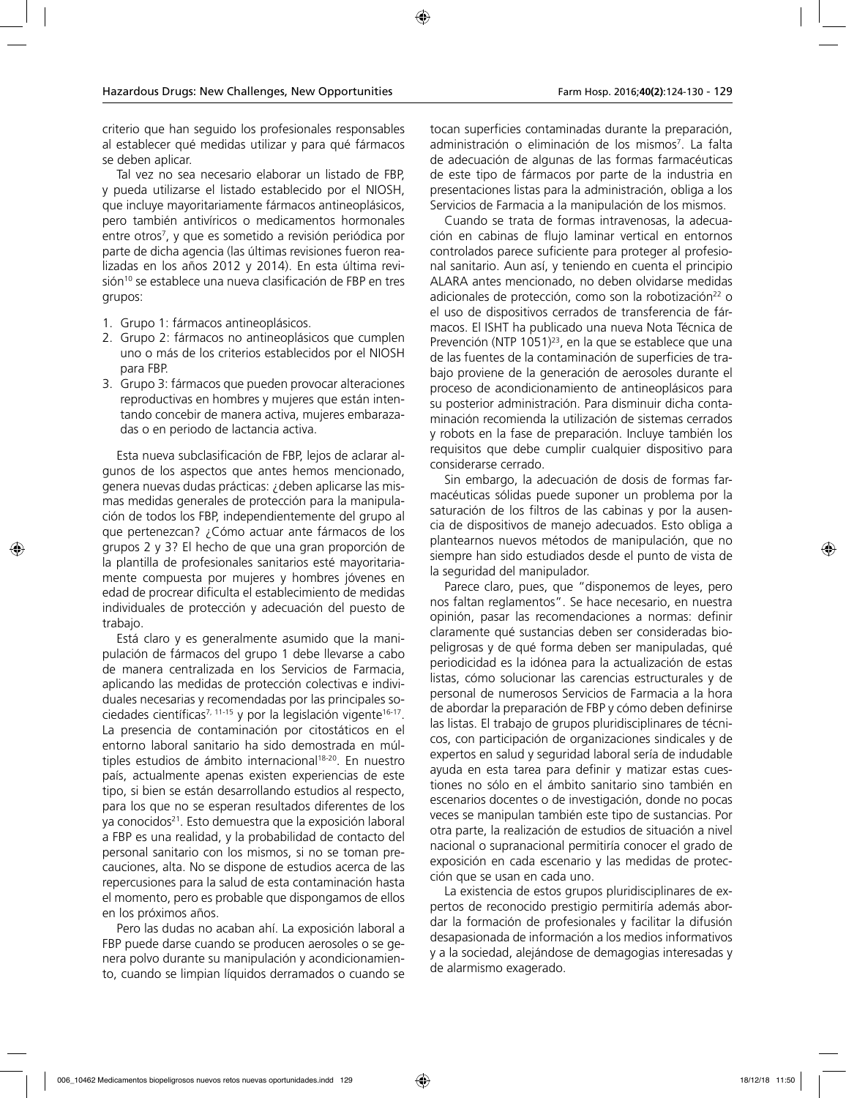criterio que han seguido los profesionales responsables al establecer qué medidas utilizar y para qué fármacos se deben aplicar.

Tal vez no sea necesario elaborar un listado de FBP, y pueda utilizarse el listado establecido por el NIOSH, que incluye mayoritariamente fármacos antineoplásicos, pero también antivíricos o medicamentos hormonales entre otros7 , y que es sometido a revisión periódica por parte de dicha agencia (las últimas revisiones fueron realizadas en los años 2012 y 2014). En esta última revisión<sup>10</sup> se establece una nueva clasificación de FBP en tres grupos:

- 1. Grupo 1: fármacos antineoplásicos.
- 2. Grupo 2: fármacos no antineoplásicos que cumplen uno o más de los criterios establecidos por el NIOSH para FBP.
- 3. Grupo 3: fármacos que pueden provocar alteraciones reproductivas en hombres y mujeres que están intentando concebir de manera activa, mujeres embarazadas o en periodo de lactancia activa.

Esta nueva subclasificación de FBP, lejos de aclarar algunos de los aspectos que antes hemos mencionado, genera nuevas dudas prácticas: ¿deben aplicarse las mismas medidas generales de protección para la manipulación de todos los FBP, independientemente del grupo al que pertenezcan? ¿Cómo actuar ante fármacos de los grupos 2 y 3? El hecho de que una gran proporción de la plantilla de profesionales sanitarios esté mayoritariamente compuesta por mujeres y hombres jóvenes en edad de procrear dificulta el establecimiento de medidas individuales de protección y adecuación del puesto de trabajo.

Está claro y es generalmente asumido que la manipulación de fármacos del grupo 1 debe llevarse a cabo de manera centralizada en los Servicios de Farmacia, aplicando las medidas de protección colectivas e individuales necesarias y recomendadas por las principales sociedades científicas<sup>7, 11-15</sup> y por la legislación vigente<sup>16-17</sup>. La presencia de contaminación por citostáticos en el entorno laboral sanitario ha sido demostrada en múltiples estudios de ámbito internacional<sup>18-20</sup>. En nuestro país, actualmente apenas existen experiencias de este tipo, si bien se están desarrollando estudios al respecto, para los que no se esperan resultados diferentes de los ya conocidos<sup>21</sup>. Esto demuestra que la exposición laboral a FBP es una realidad, y la probabilidad de contacto del personal sanitario con los mismos, si no se toman precauciones, alta. No se dispone de estudios acerca de las repercusiones para la salud de esta contaminación hasta el momento, pero es probable que dispongamos de ellos en los próximos años.

Pero las dudas no acaban ahí. La exposición laboral a FBP puede darse cuando se producen aerosoles o se genera polvo durante su manipulación y acondicionamiento, cuando se limpian líquidos derramados o cuando se

tocan superficies contaminadas durante la preparación, administración o eliminación de los mismos<sup>7</sup>. La falta de adecuación de algunas de las formas farmacéuticas de este tipo de fármacos por parte de la industria en presentaciones listas para la administración, obliga a los Servicios de Farmacia a la manipulación de los mismos.

Cuando se trata de formas intravenosas, la adecuación en cabinas de flujo laminar vertical en entornos controlados parece suficiente para proteger al profesional sanitario. Aun así, y teniendo en cuenta el principio ALARA antes mencionado, no deben olvidarse medidas adicionales de protección, como son la robotización<sup>22</sup> o el uso de dispositivos cerrados de transferencia de fármacos. El ISHT ha publicado una nueva Nota Técnica de Prevención (NTP 1051)<sup>23</sup>, en la que se establece que una de las fuentes de la contaminación de superficies de trabajo proviene de la generación de aerosoles durante el proceso de acondicionamiento de antineoplásicos para su posterior administración. Para disminuir dicha contaminación recomienda la utilización de sistemas cerrados y robots en la fase de preparación. Incluye también los requisitos que debe cumplir cualquier dispositivo para considerarse cerrado.

Sin embargo, la adecuación de dosis de formas farmacéuticas sólidas puede suponer un problema por la saturación de los filtros de las cabinas y por la ausencia de dispositivos de manejo adecuados. Esto obliga a plantearnos nuevos métodos de manipulación, que no siempre han sido estudiados desde el punto de vista de la seguridad del manipulador.

Parece claro, pues, que "disponemos de leyes, pero nos faltan reglamentos". Se hace necesario, en nuestra opinión, pasar las recomendaciones a normas: definir claramente qué sustancias deben ser consideradas biopeligrosas y de qué forma deben ser manipuladas, qué periodicidad es la idónea para la actualización de estas listas, cómo solucionar las carencias estructurales y de personal de numerosos Servicios de Farmacia a la hora de abordar la preparación de FBP y cómo deben definirse las listas. El trabajo de grupos pluridisciplinares de técnicos, con participación de organizaciones sindicales y de expertos en salud y seguridad laboral sería de indudable ayuda en esta tarea para definir y matizar estas cuestiones no sólo en el ámbito sanitario sino también en escenarios docentes o de investigación, donde no pocas veces se manipulan también este tipo de sustancias. Por otra parte, la realización de estudios de situación a nivel nacional o supranacional permitiría conocer el grado de exposición en cada escenario y las medidas de protección que se usan en cada uno.

La existencia de estos grupos pluridisciplinares de expertos de reconocido prestigio permitiría además abordar la formación de profesionales y facilitar la difusión desapasionada de información a los medios informativos y a la sociedad, alejándose de demagogias interesadas y de alarmismo exagerado.